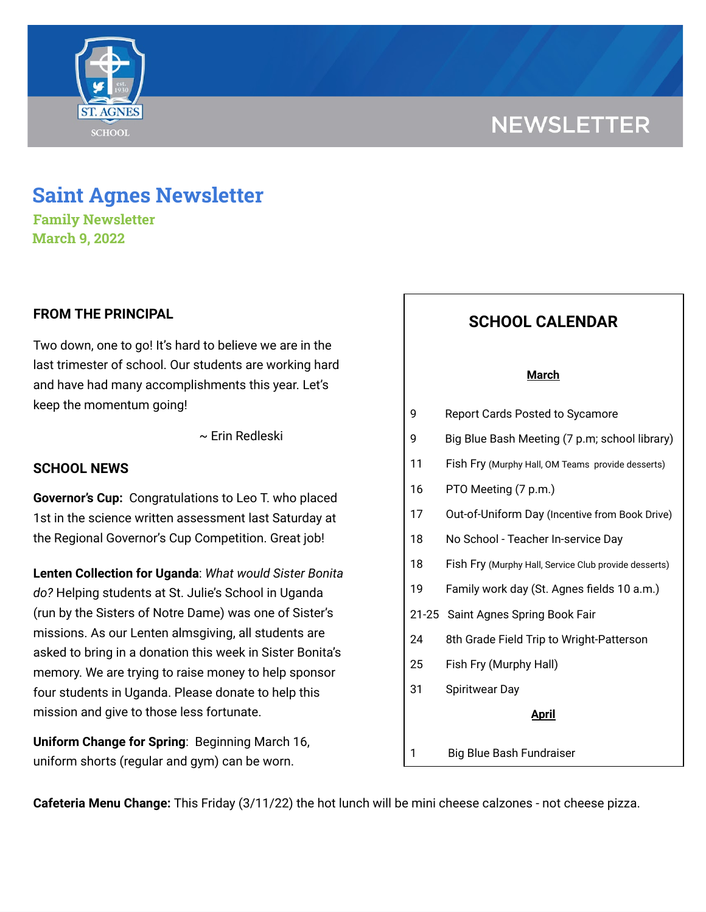# **NEWSLETTER**



**Family Newsletter March 9, 2022**

# **FROM THE PRINCIPAL**

Two down, one to go! It's hard to believe we are in the last trimester of school. Our students are working hard and have had many accomplishments this year. Let's keep the momentum going!

~ Erin Redleski

## **SCHOOL NEWS**

**Governor's Cup:** Congratulations to Leo T. who placed 1st in the science written assessment last Saturday at the Regional Governor's Cup Competition. Great job!

**Lenten Collection for Uganda**: *What would Sister Bonita do?* Helping students at St. Julie's School in Uganda (run by the Sisters of Notre Dame) was one of Sister's missions. As our Lenten almsgiving, all students are asked to bring in a donation this week in Sister Bonita's memory. We are trying to raise money to help sponsor four students in Uganda. Please donate to help this mission and give to those less fortunate.

**Uniform Change for Spring**: Beginning March 16, uniform shorts (regular and gym) can be worn.

# **SCHOOL CALENDAR**

#### **March**

| 9            | <b>Report Cards Posted to Sycamore</b>                |
|--------------|-------------------------------------------------------|
| 9            | Big Blue Bash Meeting (7 p.m; school library)         |
| 11           | Fish Fry (Murphy Hall, OM Teams provide desserts)     |
| 16           | PTO Meeting (7 p.m.)                                  |
| 17           | Out-of-Uniform Day (Incentive from Book Drive)        |
| 18           | No School - Teacher In-service Day                    |
| 18           | Fish Fry (Murphy Hall, Service Club provide desserts) |
| 19           | Family work day (St. Agnes fields 10 a.m.)            |
|              | 21-25 Saint Agnes Spring Book Fair                    |
| 24           | 8th Grade Field Trip to Wright-Patterson              |
| 25           | Fish Fry (Murphy Hall)                                |
| 31           | <b>Spiritwear Day</b>                                 |
| <u>April</u> |                                                       |
| 1            | <b>Big Blue Bash Fundraiser</b>                       |

**Cafeteria Menu Change:** This Friday (3/11/22) the hot lunch will be mini cheese calzones - not cheese pizza.

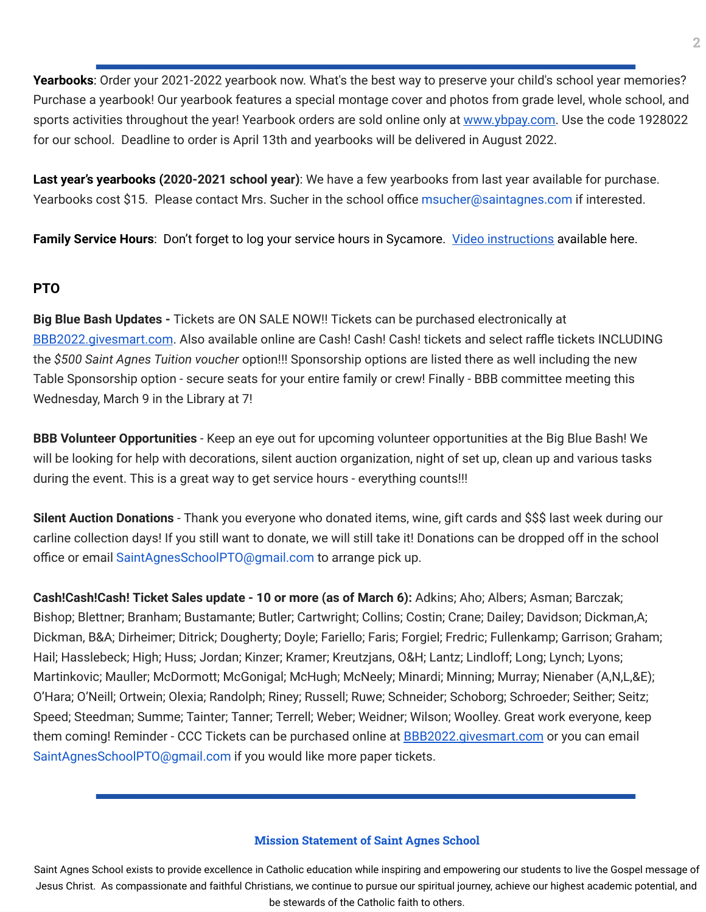Yearbooks: Order your 2021-2022 yearbook now. What's the best way to preserve your child's school year memories? Purchase a yearbook! Our yearbook features a special montage cover and photos from grade level, whole school, and sports activities throughout the year! Yearbook orders are sold online only at [www.ybpay.com.](http://www.ybpay.lifetouch.com/) Use the code 1928022 for our school. Deadline to order is April 13th and yearbooks will be delivered in August 2022.

**Last year's yearbooks (2020-2021 school year)**: We have a few yearbooks from last year available for purchase. Yearbooks cost \$15. Please contact Mrs. Sucher in the school office msucher@saintagnes.com if interested.

**Family Service Hours**: Don't forget to log your service hours in Sycamore. Video [instructions](https://drive.google.com/file/d/1cmYj9N-NF2btSiiG8QdTD20q2RJRpwk7/view?usp=sharing) available here.

# **PTO**

**Big Blue Bash Updates -** Tickets are ON SALE NOW!! Tickets can be purchased electronically at [BBB2022.givesmart.com](http://bbb2022.givesmart.com/). Also available online are Cash! Cash! Cash! tickets and select raffle tickets INCLUDING the *\$500 Saint Agnes Tuition voucher* option!!! Sponsorship options are listed there as well including the new Table Sponsorship option - secure seats for your entire family or crew! Finally - BBB committee meeting this Wednesday, March 9 in the Library at 7!

**BBB Volunteer Opportunities** - Keep an eye out for upcoming volunteer opportunities at the Big Blue Bash! We will be looking for help with decorations, silent auction organization, night of set up, clean up and various tasks during the event. This is a great way to get service hours - everything counts!!!

**Silent Auction Donations** - Thank you everyone who donated items, wine, gift cards and \$\$\$ last week during our carline collection days! If you still want to donate, we will still take it! Donations can be dropped off in the school office or email SaintAgnesSchoolPTO@gmail.com to arrange pick up.

**Cash!Cash!Cash! Ticket Sales update - 10 or more (as of March 6):** Adkins; Aho; Albers; Asman; Barczak; Bishop; Blettner; Branham; Bustamante; Butler; Cartwright; Collins; Costin; Crane; Dailey; Davidson; Dickman,A; Dickman, B&A; Dirheimer; Ditrick; Dougherty; Doyle; Fariello; Faris; Forgiel; Fredric; Fullenkamp; Garrison; Graham; Hail; Hasslebeck; High; Huss; Jordan; Kinzer; Kramer; Kreutzjans, O&H; Lantz; Lindloff; Long; Lynch; Lyons; Martinkovic; Mauller; McDormott; McGonigal; McHugh; McNeely; Minardi; Minning; Murray; Nienaber (A,N,L,&E); O'Hara; O'Neill; Ortwein; Olexia; Randolph; Riney; Russell; Ruwe; Schneider; Schoborg; Schroeder; Seither; Seitz; Speed; Steedman; Summe; Tainter; Tanner; Terrell; Weber; Weidner; Wilson; Woolley. Great work everyone, keep them coming! Reminder - CCC Tickets can be purchased online at **[BBB2022.givesmart.com](http://bbb2022.givesmart.com/)** or you can email SaintAgnesSchoolPTO@gmail.com if you would like more paper tickets.

### **Mission Statement of Saint Agnes School**

Saint Agnes School exists to provide excellence in Catholic education while inspiring and empowering our students to live the Gospel message of Jesus Christ. As compassionate and faithful Christians, we continue to pursue our spiritual journey, achieve our highest academic potential, and be stewards of the Catholic faith to others.